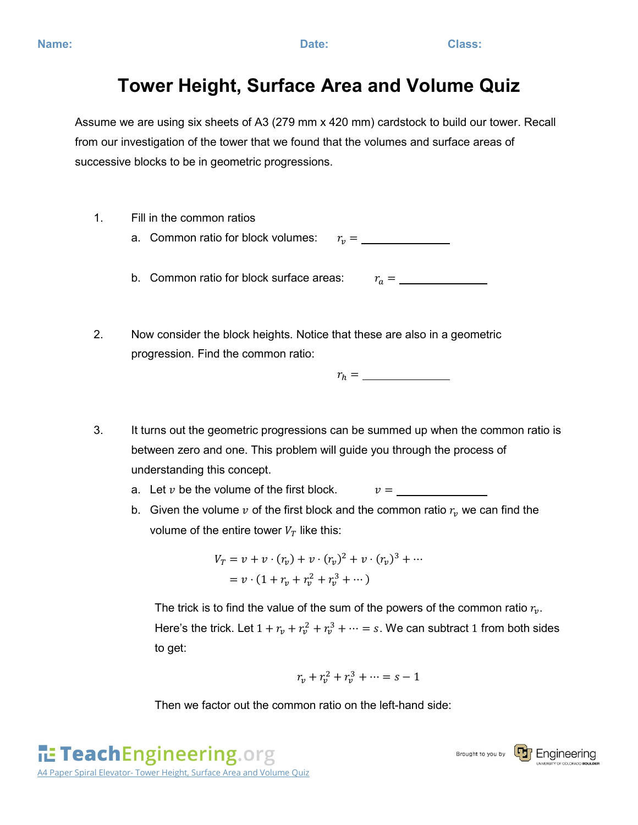## **Tower Height, Surface Area and Volume Quiz**

Assume we are using six sheets of A3 (279 mm x 420 mm) cardstock to build our tower. Recall from our investigation of the tower that we found that the volumes and surface areas of successive blocks to be in geometric progressions.

- 1. Fill in the common ratios
	- a. Common ratio for block volumes:  $r_n =$
	- b. Common ratio for block surface areas: =
- 2. Now consider the block heights. Notice that these are also in a geometric progression. Find the common ratio:

 $r_h =$ 

- 3. It turns out the geometric progressions can be summed up when the common ratio is between zero and one. This problem will guide you through the process of understanding this concept.
	- a. Let  $v$  be the volume of the first block.  $v = \underline{\hspace{2cm}}$
	- b. Given the volume  $v$  of the first block and the common ratio  $r_v$  we can find the volume of the entire tower  $V_T$  like this:

$$
V_T = v + v \cdot (r_v) + v \cdot (r_v)^2 + v \cdot (r_v)^3 + \cdots
$$
  
=  $v \cdot (1 + r_v + r_v^2 + r_v^3 + \cdots)$ 

The trick is to find the value of the sum of the powers of the common ratio  $r_{\nu}$ . Here's the trick. Let  $1 + r_v + r_v^2 + r_v^3 + \cdots = s$ . We can subtract 1 from both sides to get:

$$
r_v+r_v^2+r_v^3+\cdots=s-1
$$

Then we factor out the common ratio on the left-hand side: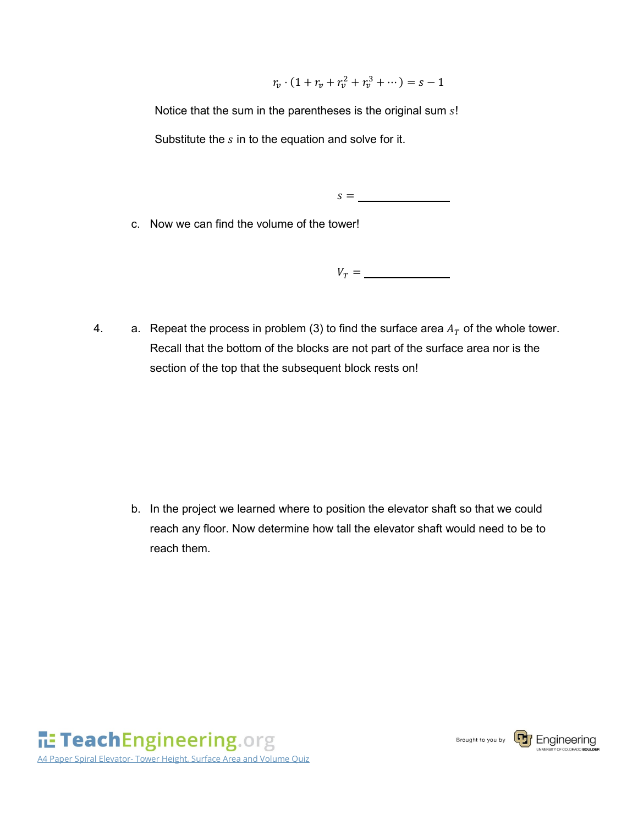$r_v \cdot (1 + r_v + r_v^2 + r_v^3 + \cdots) = s - 1$ 

Notice that the sum in the parentheses is the original sum  $s!$ Substitute the  $s$  in to the equation and solve for it.

 $s =$ 

c. Now we can find the volume of the tower!

 $V_T =$ 

4. a. Repeat the process in problem (3) to find the surface area  $A_T$  of the whole tower. Recall that the bottom of the blocks are not part of the surface area nor is the section of the top that the subsequent block rests on!

b. In the project we learned where to position the elevator shaft so that we could reach any floor. Now determine how tall the elevator shaft would need to be to reach them.

TeachEngineering.org A4 Paper Spiral Elevator- Tower Height, Surface Area and Volume Quiz